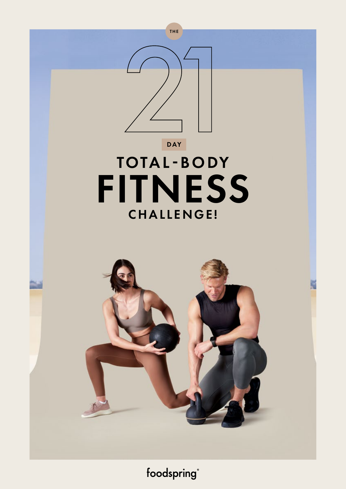

foodspring®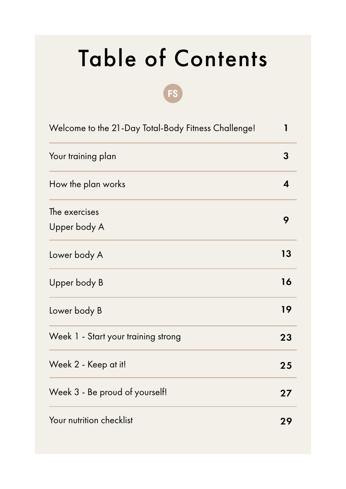# Table of Contents

| Welcome to the 21-Day Total-Body Fitness Challenge! |    |  |  |  |
|-----------------------------------------------------|----|--|--|--|
| Your training plan                                  | 3  |  |  |  |
| How the plan works                                  | 4  |  |  |  |
| The exercises<br>Upper body A                       | 9  |  |  |  |
| Lower body A                                        | 13 |  |  |  |
| Upper body B                                        | 16 |  |  |  |
| Lower body B                                        | 19 |  |  |  |
| Week 1 - Start your training strong                 | 23 |  |  |  |
| Week 2 - Keep at it!                                | 25 |  |  |  |
| Week 3 - Be proud of yourself!                      | 27 |  |  |  |
| Your nutrition checklist                            | 29 |  |  |  |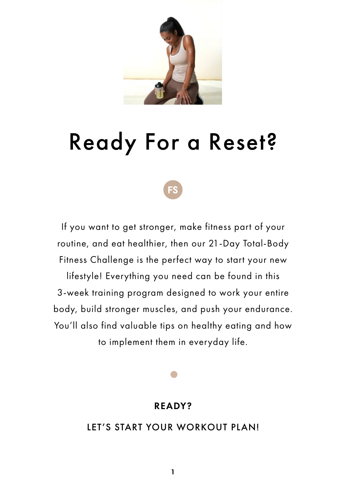

# Ready For a Reset?

If you want to get stronger, make fitness part of your routine, and eat healthier, then our 21-Day Total-Body Fitness Challenge is the perfect way to start your new

lifestyle! Everything you need can be found in this 3-week training program designed to work your entire body, build stronger muscles, and push your endurance. You'll also find valuable tips on healthy eating and how to implement them in everyday life.

#### READY?

#### LET'S START YOUR WORKOUT PLAN!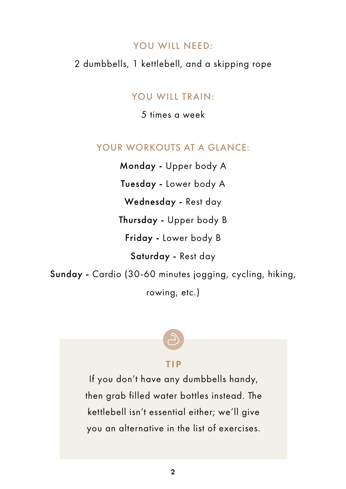#### YOU WILL NEED:

#### 2 dumbbells, 1 kettlebell, and a skipping rope

#### YOU WILL TRAIN:

5 times a week

#### YOUR WORKOUTS AT A GLANCE:

Monday - Upper body A

Tuesday - Lower body A

Wednesday - Rest day

Thursday - Upper body B

Friday - Lower body B

Saturday - Rest day

Sunday - Cardio (30-60 minutes jogging, cycling, hiking,

rowing, etc.)

#### TIP

If you don't have any dumbbells handy, then grab filled water bottles instead. The kettlebell isn't essential either; we'll give you an alternative in the list of exercises.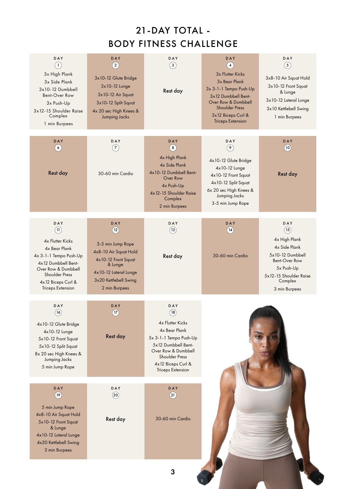## 21-DAY TOTAL - BODY FITNESS CHALLENGE

| DAY<br>(2)<br>3x10-12 Glute Bridge<br>3x10-12 Lunge<br>3x10-12 Air Squat<br>3x10-12 Split Squat<br>4x 20 sec High Knees &<br><b>Jumping Jacks</b>              | DAY<br>(3)<br>Rest day                                                                                                                                                                                     | DAY<br>(4)<br>3x Flutter Kicks<br>3x Bear Plank<br>3x 3-1-1 Tempo Push-Up<br>3x12 Dumbbell Bent-<br>Over Row & Dumbbell<br><b>Shoulder Press</b><br>3x12 Biceps Curl &<br><b>Triceps Extension</b> | DAY<br>(5)<br>3x8-10 Air Squat Hold<br>3x10-12 Front Squat<br>& Lunge<br>3x10-12 Lateral Lunge<br>3x10 Kettlebell Swing<br>1 min Burpees               |
|----------------------------------------------------------------------------------------------------------------------------------------------------------------|------------------------------------------------------------------------------------------------------------------------------------------------------------------------------------------------------------|----------------------------------------------------------------------------------------------------------------------------------------------------------------------------------------------------|--------------------------------------------------------------------------------------------------------------------------------------------------------|
| DAY<br>(7)<br>30-60 min Cardio                                                                                                                                 | <b>DAY</b><br>$\circledast$<br>4x High Plank<br><b>4x Side Plank</b><br>4x10-12 Dumbbell Bent-<br>Over Row<br>4x Push-Up<br>4x12-15 Shoulder Raise<br>Complex<br>2 min Burpees                             | DAY<br>$\circ$<br>4x10-12 Glute Bridge<br>4x10-12 Lunge<br>4x10-12 Front Squat<br>4x10-12 Split Squat<br>6x 20 sec High Knees &<br>Jumping Jacks<br>3-5 min Jump Rope                              | DAY<br>(10)<br>Rest day                                                                                                                                |
| DAY<br>(12)<br>3-5 min Jump Rope<br>4x8-10 Air Squat Hold<br>4x10-12 Front Squat<br>& Lunge<br>4x10-12 Lateral Lunge<br>3x20 Kettlebell Swing<br>2 min Burpees | DAY<br>(13)<br>Rest day                                                                                                                                                                                    | DAY<br>(14)<br>30-60 min Cardio                                                                                                                                                                    | DAY<br>(15)<br>4x High Plank<br>4x Side Plank<br>5x10-12 Dumbbell<br>Bent-Over Row<br>5x Push-Up<br>5x12-15 Shoulder Raise<br>Complex<br>3 min Burpees |
| DAY<br>(17)<br>Rest day                                                                                                                                        | DAY<br>(18)<br><b>4x Flutter Kicks</b><br>4x Bear Plank<br>5x 3-1-1 Tempo Push-Up<br>5x12 Dumbbell Bent-<br>Over Row & Dumbbell<br><b>Shoulder Press</b><br>4x12 Biceps Curl &<br><b>Triceps Extension</b> |                                                                                                                                                                                                    |                                                                                                                                                        |
| DAY<br>(20)<br>Rest day                                                                                                                                        | DAY<br>$\binom{21}{}$<br>30-60 min Cardio                                                                                                                                                                  |                                                                                                                                                                                                    |                                                                                                                                                        |
|                                                                                                                                                                |                                                                                                                                                                                                            |                                                                                                                                                                                                    |                                                                                                                                                        |

3

1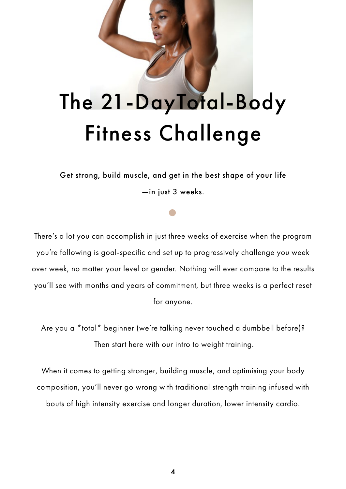# The 21-DayTotal-Body Fitness Challenge

Get strong, build muscle, and get in the best shape of your life —in just 3 weeks.

There's a lot you can accomplish in just three weeks of exercise when the program you're following is goal-specific and set up to progressively challenge you week over week, no matter your level or gender. Nothing will ever compare to the results you'll see with months and years of commitment, but three weeks is a perfect reset for anyone.

Are you a \*total\* beginner (we're talking never touched a dumbbell before)? Then start here with our intro to weight training.

When it comes to getting stronger, building muscle, and optimising your body composition, you'll never go wrong with traditional strength training infused with bouts of high intensity exercise and longer duration, lower intensity cardio.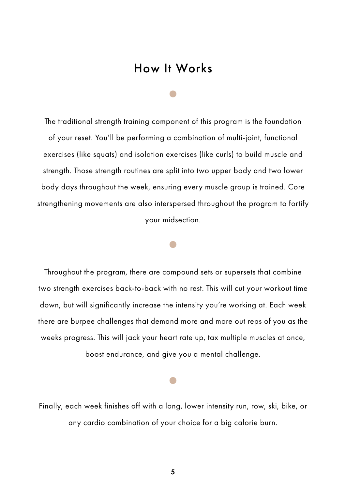## How It Works

The traditional strength training component of this program is the foundation of your reset. You'll be performing a combination of multi-joint, functional exercises (like squats) and isolation exercises (like curls) to build muscle and strength. Those strength routines are split into two upper body and two lower body days throughout the week, ensuring every muscle group is trained. Core strengthening movements are also interspersed throughout the program to fortify your midsection.

Throughout the program, there are compound sets or supersets that combine two strength exercises back-to-back with no rest. This will cut your workout time down, but will significantly increase the intensity you're working at. Each week there are burpee challenges that demand more and more out reps of you as the weeks progress. This will jack your heart rate up, tax multiple muscles at once, boost endurance, and give you a mental challenge.

Finally, each week finishes off with a long, lower intensity run, row, ski, bike, or any cardio combination of your choice for a big calorie burn.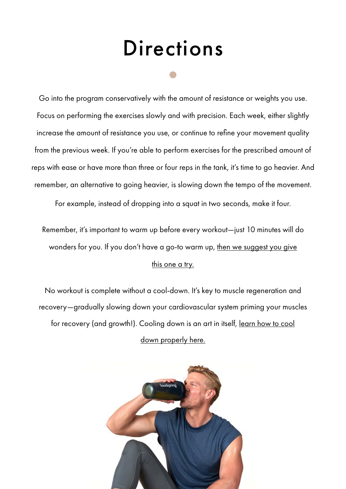# **Directions**

Go into the program conservatively with the amount of resistance or weights you use. Focus on performing the exercises slowly and with precision. Each week, either slightly increase the amount of resistance you use, or continue to refine your movement quality from the previous week. If you're able to perform exercises for the prescribed amount of reps with ease or have more than three or four reps in the tank, it's time to go heavier. And remember, an alternative to going heavier, is slowing down the tempo of the movement.

For example, instead of dropping into a squat in two seconds, make it four.

Remember, it's important to warm up before every workout—just 10 minutes will do wonders for you. If you don't have a go-to warm up, then we suggest you give this one a try.

No workout is complete without a cool-down. It's key to muscle regeneration and recovery—gradually slowing down your cardiovascular system priming your muscles for recovery (and growth!). Cooling down is an art in itself, learn how to cool down properly here.

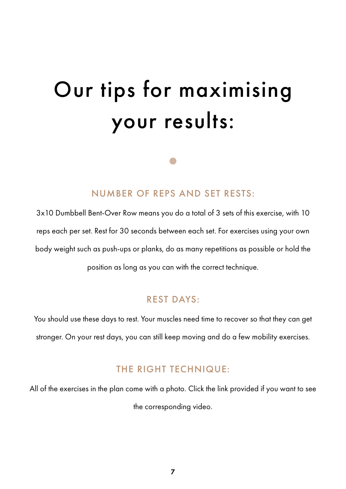# Our tips for maximising your results:

#### NUMBER OF REPS AND SET RESTS:

3x10 Dumbbell Bent-Over Row means you do a total of 3 sets of this exercise, with 10 reps each per set. Rest for 30 seconds between each set. For exercises using your own body weight such as push-ups or planks, do as many repetitions as possible or hold the position as long as you can with the correct technique.

#### REST DAYS:

You should use these days to rest. Your muscles need time to recover so that they can get stronger. On your rest days, you can still keep moving and do a few mobility exercises.

#### THE RIGHT TECHNIQUE:

All of the exercises in the plan come with a photo. Click the link provided if you want to see

the corresponding video.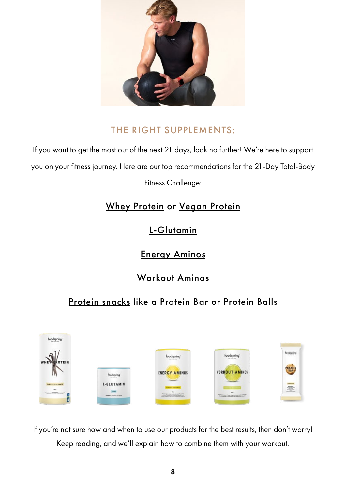

#### THE RIGHT SUPPLEMENTS:

If you want to get the most out of the next 21 days, look no further! We're here to support you on your fitness journey. Here are our top recommendations for the 21-Day Total-Body

Fitness Challenge:

## Whey Protein or Vegan Protein

L-Glutamin

Energy Aminos

Workout Aminos

## Protein snacks like a Protein Bar or Protein Balls



If you're not sure how and when to use our products for the best results, then don't worry! Keep reading, and we'll explain how to combine them with your workout.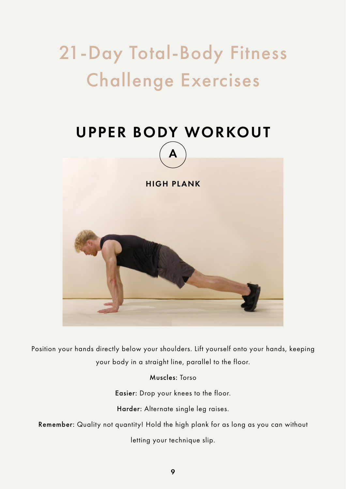# 21-Day Total-Body Fitness Challenge Exercises



Position your hands directly below your shoulders. Lift yourself onto your hands, keeping your body in a straight line, parallel to the floor.

Muscles: Torso

Easier: Drop your knees to the floor.

Harder: Alternate single leg raises.

Remember: Quality not quantity! Hold the high plank for as long as you can without

letting your technique slip.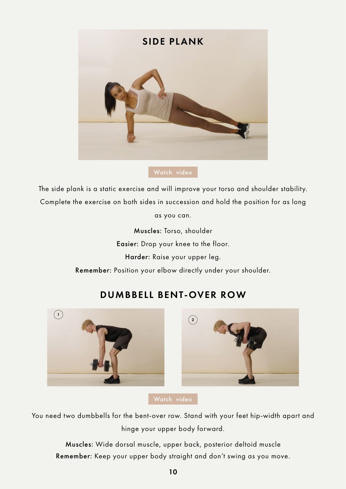

The side plank is a static exercise and will improve your torso and shoulder stability. Complete the exercise on both sides in succession and hold the position for as long

as you can.

Muscles: Torso, shoulder Easier: Drop your knee to the floor. Harder: Raise your upper leg. Remember: Position your elbow directly under your shoulder.



# $\Omega$

You need two dumbbells for the bent-over row. Stand with your feet hip-width apart and hinge your upper body forward.

Muscles: Wide dorsal muscle, upper back, posterior deltoid muscle Remember: Keep your upper body straight and don't swing as you move.

## DUMBBELL BENT-OVER ROW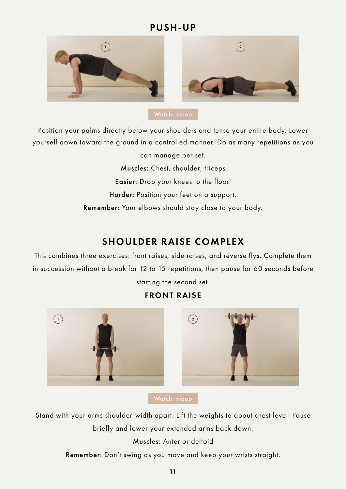#### PUSH-UP



Position your palms directly below your shoulders and tense your entire body. Lower yourself down toward the ground in a controlled manner. Do as many repetitions as you

> can manage per set. Muscles: Chest, shoulder, triceps Easier: Drop your knees to the floor. Harder: Position your feet on a support. Remember: Your elbows should stay close to your body.

#### SHOULDER RAISE COMPLEX

This combines three exercises: front raises, side raises, and reverse flys. Complete them in succession without a break for 12 to 15 repetitions, then pause for 60 seconds before starting the second set.

#### FRONT RAISE





Stand with your arms shoulder-width apart. Lift the weights to about chest level. Pause briefly and lower your extended arms back down.

Muscles: Anterior deltoid

Remember: Don't swing as you move and keep your wrists straight.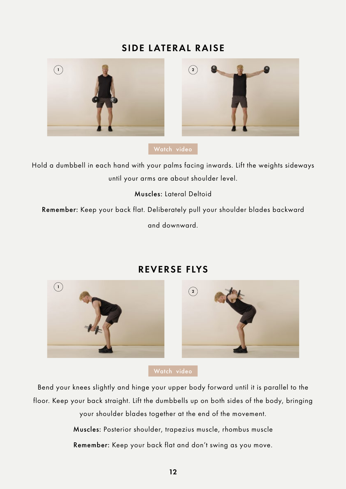#### SIDE LATERAL RAISE





Hold a dumbbell in each hand with your palms facing inwards. Lift the weights sideways until your arms are about shoulder level.

Muscles: Lateral Deltoid

Remember: Keep your back flat. Deliberately pull your shoulder blades backward

and downward.



#### REVERSE FLYS

Bend your knees slightly and hinge your upper body forward until it is parallel to the floor. Keep your back straight. Lift the dumbbells up on both sides of the body, bringing

> your shoulder blades together at the end of the movement. Muscles: Posterior shoulder, trapezius muscle, rhombus muscle

> Remember: Keep your back flat and don't swing as you move.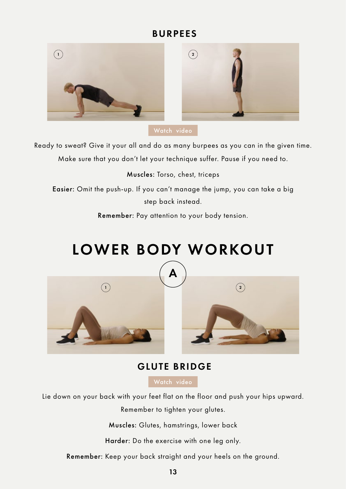#### BURPEES



Ready to sweat? Give it your all and do as many burpees as you can in the given time. Make sure that you don't let your technique suffer. Pause if you need to.

Muscles: Torso, chest, triceps

Easier: Omit the push-up. If you can't manage the jump, you can take a big step back instead.

Remember: Pay attention to your body tension.

# LOWER BODY WORKOUT





#### GLUTE BRIDGE

Lie down on your back with your feet flat on the floor and push your hips upward.

Remember to tighten your glutes.

Muscles: Glutes, hamstrings, lower back

Harder: Do the exercise with one leg only.

Remember: Keep your back straight and your heels on the ground.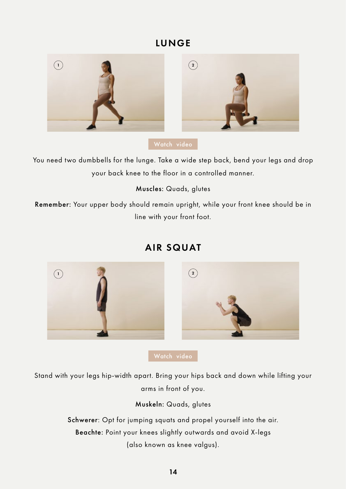#### LUNGE



You need two dumbbells for the lunge. Take a wide step back, bend your legs and drop your back knee to the floor in a controlled manner.

Muscles: Quads, glutes

Remember: Your upper body should remain upright, while your front knee should be in line with your front foot.



## AIR SQUAT

Stand with your legs hip-width apart. Bring your hips back and down while lifting your arms in front of you.

Muskeln: Quads, glutes

Schwerer: Opt for jumping squats and propel yourself into the air. Beachte: Point your knees slightly outwards and avoid X-legs (also known as knee valgus).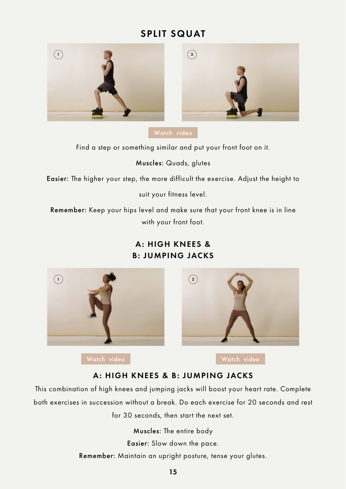## SPLIT SQUAT





Find a step or something similar and put your front foot on it.

#### Muscles: Quads, glutes

Easier: The higher your step, the more difficult the exercise. Adjust the height to

suit your fitness level.

Remember: Keep your hips level and make sure that your front knee is in line with your front foot.

#### A: HIGH KNEES & B: JUMPING JACKS





[Watch video](https://www.youtube.com/watch?v=UOs2Onx__LI) **Watch video** Watch video

#### A: HIGH KNEES & B: JUMPING JACKS

This combination of high knees and jumping jacks will boost your heart rate. Complete both exercises in succession without a break. Do each exercise for 20 seconds and rest for 30 seconds, then start the next set.

> Muscles: The entire body Easier: Slow down the pace. Remember: Maintain an upright posture, tense your glutes.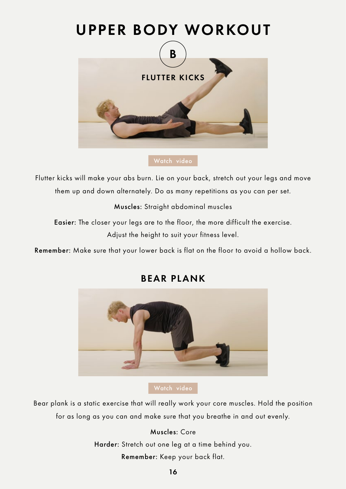## UPPER BODY WORKOUT



#### [Watch video](https://www.youtube.com/watch?v=1uLxP4asoiM)

Flutter kicks will make your abs burn. Lie on your back, stretch out your legs and move them up and down alternately. Do as many repetitions as you can per set.

Muscles: Straight abdominal muscles

Easier: The closer your legs are to the floor, the more difficult the exercise. Adjust the height to suit your fitness level.

Remember: Make sure that your lower back is flat on the floor to avoid a hollow back.



#### BEAR PLANK

#### [Watch video](https://www.youtube.com/watch?v=E07TepiG4M0)

Bear plank is a static exercise that will really work your core muscles. Hold the position for as long as you can and make sure that you breathe in and out evenly.

#### Muscles: Core

Harder: Stretch out one leg at a time behind you.

Remember: Keep your back flat.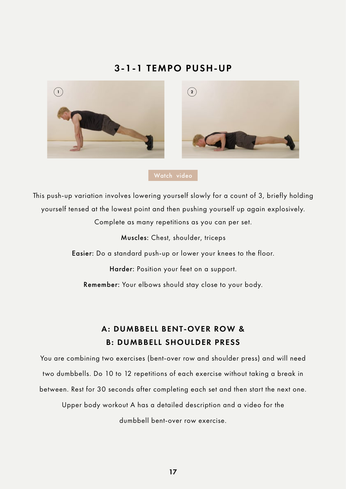#### 3-1-1 TEMPO PUSH-UP





This push-up variation involves lowering yourself slowly for a count of 3, briefly holding yourself tensed at the lowest point and then pushing yourself up again explosively.

Complete as many repetitions as you can per set.

Muscles: Chest, shoulder, triceps

Easier: Do a standard push-up or lower your knees to the floor.

Harder: Position your feet on a support.

Remember: Your elbows should stay close to your body.

#### A: DUMBBELL BENT-OVER ROW & B: DUMBBELL SHOULDER PRESS

You are combining two exercises (bent-over row and shoulder press) and will need two dumbbells. Do 10 to 12 repetitions of each exercise without taking a break in between. Rest for 30 seconds after completing each set and then start the next one.

Upper body workout A has a detailed description and a video for the dumbbell bent-over row exercise.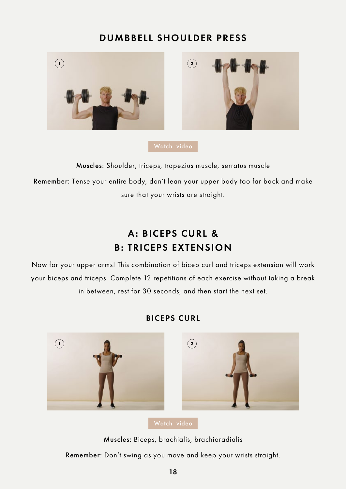#### DUMBBELL SHOULDER PRESS



Muscles: Shoulder, triceps, trapezius muscle, serratus muscle Remember: Tense your entire body, don't lean your upper body too far back and make sure that your wrists are straight.

## A: BICEPS CURL & B: TRICEPS EXTENSION

Now for your upper arms! This combination of bicep curl and triceps extension will work your biceps and triceps. Complete 12 repetitions of each exercise without taking a break in between, rest for 30 seconds, and then start the next set.



#### BICEPS CURL

Muscles: Biceps, brachialis, brachioradialis

Remember: Don't swing as you move and keep your wrists straight.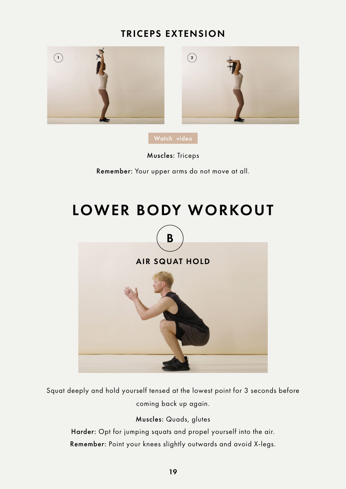#### TRICEPS EXTENSION





Muscles: Triceps

Remember: Your upper arms do not move at all.

# LOWER BODY WORKOUT



Squat deeply and hold yourself tensed at the lowest point for 3 seconds before coming back up again.

Muscles: Quads, glutes

Harder: Opt for jumping squats and propel yourself into the air. Remember: Point your knees slightly outwards and avoid X-legs.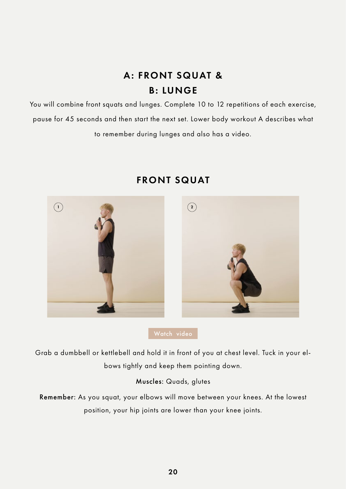## A: FRONT SQUAT & B: LUNGE

You will combine front squats and lunges. Complete 10 to 12 repetitions of each exercise, pause for 45 seconds and then start the next set. Lower body workout A describes what to remember during lunges and also has a video.



#### FRONT SQUAT

Grab a dumbbell or kettlebell and hold it in front of you at chest level. Tuck in your elbows tightly and keep them pointing down.

#### Muscles: Quads, glutes

Remember: As you squat, your elbows will move between your knees. At the lowest position, your hip joints are lower than your knee joints.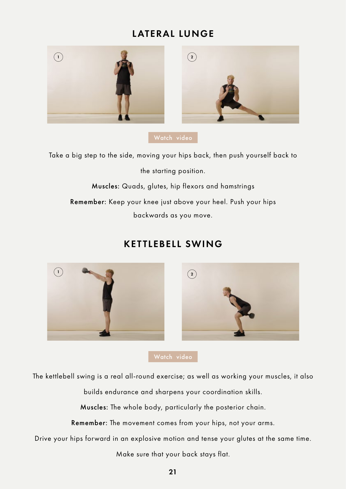#### LATERAL LUNGE



[Watch video](https://www.youtube.com/watch?v=w7tFcK9ww9g)

Take a big step to the side, moving your hips back, then push yourself back to the starting position.

Muscles: Quads, glutes, hip flexors and hamstrings

Remember: Keep your knee just above your heel. Push your hips backwards as you move.

#### KETTLEBELL SWING



[Watch video](https://www.youtube.com/watch?v=puvoENA0WIk)

The kettlebell swing is a real all-round exercise; as well as working your muscles, it also

builds endurance and sharpens your coordination skills.

Muscles: The whole body, particularly the posterior chain.

Remember: The movement comes from your hips, not your arms.

Drive your hips forward in an explosive motion and tense your glutes at the same time.

Make sure that your back stays flat.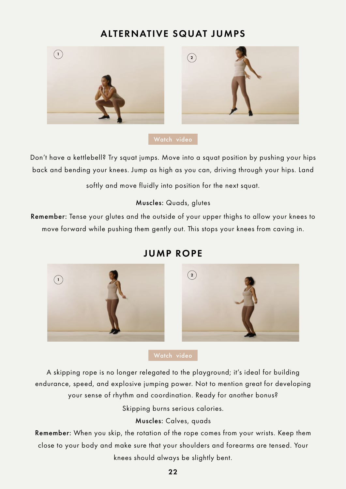#### ALTERNATIVE SQUAT JUMPS





Don't have a kettlebell? Try squat jumps. Move into a squat position by pushing your hips back and bending your knees. Jump as high as you can, driving through your hips. Land

softly and move fluidly into position for the next squat.

#### Muscles: Quads, glutes

Remember: Tense your glutes and the outside of your upper thighs to allow your knees to move forward while pushing them gently out. This stops your knees from caving in.



#### JUMP ROPE

A skipping rope is no longer relegated to the playground; it's ideal for building endurance, speed, and explosive jumping power. Not to mention great for developing your sense of rhythm and coordination. Ready for another bonus?

Skipping burns serious calories.

#### Muscles: Calves, quads

Remember: When you skip, the rotation of the rope comes from your wrists. Keep them close to your body and make sure that your shoulders and forearms are tensed. Your knees should always be slightly bent.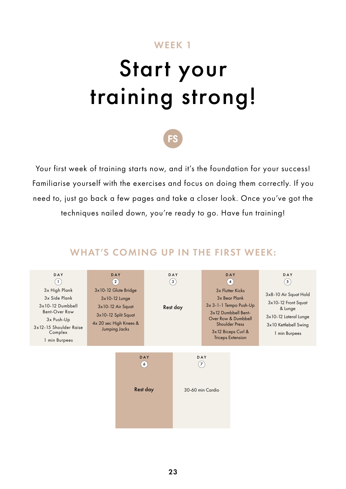#### WEEK 1

# Start your training strong!



Your first week of training starts now, and it's the foundation for your success! Familiarise yourself with the exercises and focus on doing them correctly. If you need to, just go back a few pages and take a closer look. Once you've got the techniques nailed down, you're ready to go. Have fun training!

#### WHAT'S COMING UP IN THE FIRST WEEK:

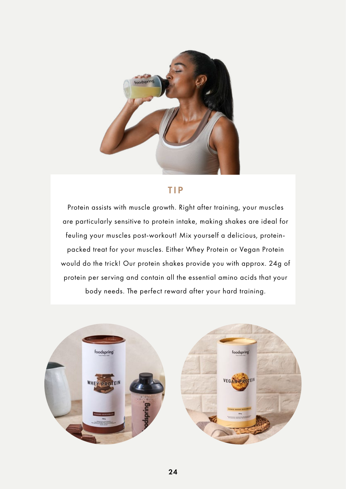

#### TIP

Protein assists with muscle growth. Right after training, your muscles are particularly sensitive to protein intake, making shakes are ideal for feuling your muscles post-workout! Mix yourself a delicious, proteinpacked treat for your muscles. Either Whey Protein or Vegan Protein would do the trick! Our protein shakes provide you with approx. 24g of protein per serving and contain all the essential amino acids that your body needs. The perfect reward after your hard training.

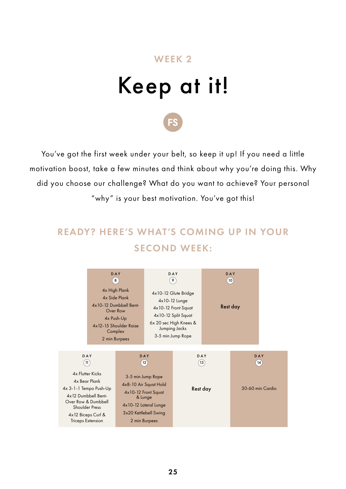## WEEK 2

# Keep at it!

You've got the first week under your belt, so keep it up! If you need a little motivation boost, take a few minutes and think about why you're doing this. Why did you choose our challenge? What do you want to achieve? Your personal "why" is your best motivation. You've got this!

## READY? HERE'S WHAT'S COMING UP IN YOUR SECOND WEEK:

|                                                                                                                                                                                                    | DAY<br>4x10-12 Dumbbell Bent-<br>Over Row<br>4x Push-Up<br>4x12-15 Shoulder Raise | ່8່<br>4x High Plank<br>4x Side Plank<br>Complex<br>2 min Burpees                                                                                      | DAY<br>`9′<br>4x10-12 Glute Bridge<br>4x10-12 Lunge<br>4x10-12 Front Squat<br>4x10-12 Split Squat<br>6x 20 sec High Knees &<br>Jumping Jacks<br>3-5 min Jump Rope | DAY<br>(10)<br>Rest day |                                 |
|----------------------------------------------------------------------------------------------------------------------------------------------------------------------------------------------------|-----------------------------------------------------------------------------------|--------------------------------------------------------------------------------------------------------------------------------------------------------|-------------------------------------------------------------------------------------------------------------------------------------------------------------------|-------------------------|---------------------------------|
| DAY<br><b>4x Flutter Kicks</b><br>4x Bear Plank<br>4x 3-1-1 Tempo Push-Up<br>4x12 Dumbbell Bent-<br>Over Row & Dumbbell<br><b>Shoulder Press</b><br>4x12 Biceps Curl &<br><b>Triceps Extension</b> | $^{\prime}$ 11 $^{\prime}$                                                        | DAY<br>3-5 min Jump Rope<br>4x8-10 Air Squat Hold<br>4x10-12 Front Squat<br>& Lunge<br>4x10-12 Lateral Lunge<br>3x20 Kettlebell Swing<br>2 min Burpees | 12)                                                                                                                                                               | DAY<br>(13)<br>Rest day | DAY<br>(14)<br>30-60 min Cardio |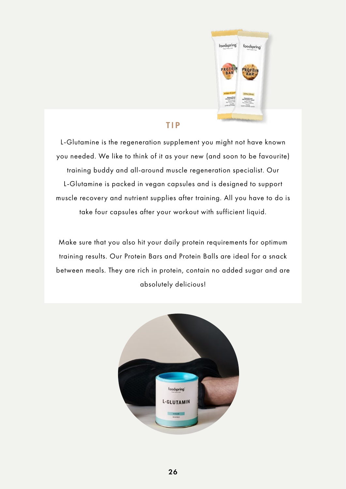

#### TIP

L-Glutamine is the regeneration supplement you might not have known you needed. We like to think of it as your new (and soon to be favourite) training buddy and all-around muscle regeneration specialist. Our L-Glutamine is packed in vegan capsules and is designed to support muscle recovery and nutrient supplies after training. All you have to do is take four capsules after your workout with sufficient liquid.

Make sure that you also hit your daily protein requirements for optimum training results. Our Protein Bars and Protein Balls are ideal for a snack between meals. They are rich in protein, contain no added sugar and are absolutely delicious!

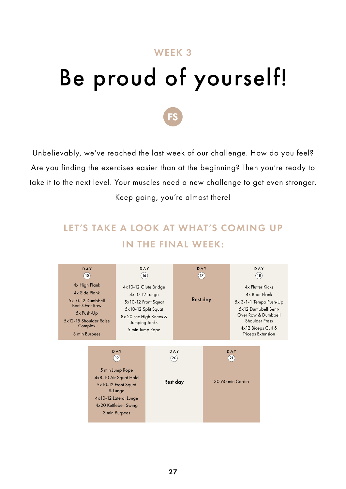# WEEK 3 Be proud of yourself!



Unbelievably, we've reached the last week of our challenge. How do you feel? Are you finding the exercises easier than at the beginning? Then you're ready to take it to the next level. Your muscles need a new challenge to get even stronger. Keep going, you're almost there!

## LET'S TAKE A LOOK AT WHAT'S COMING UP IN THE FINAL WEEK:

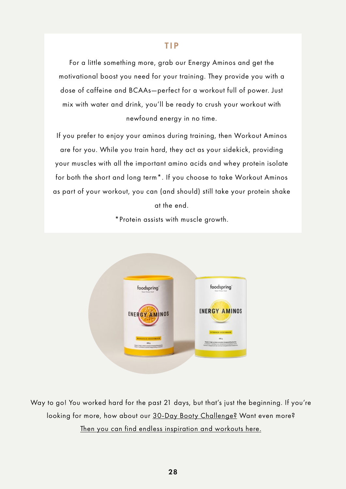#### TIP

For a little something more, grab our Energy Aminos and get the motivational boost you need for your training. They provide you with a dose of caffeine and BCAAs—perfect for a workout full of power. Just mix with water and drink, you'll be ready to crush your workout with newfound energy in no time.

If you prefer to enjoy your aminos during training, then Workout Aminos are for you. While you train hard, they act as your sidekick, providing your muscles with all the important amino acids and whey protein isolate for both the short and long term\*. If you choose to take Workout Aminos as part of your workout, you can (and should) still take your protein shake at the end.

\*Protein assists with muscle growth.



Way to go! You worked hard for the past 21 days, but that's just the beginning. If you're looking for more, how about our 30-Day Booty Challenge? Want even more? Then you can find endless inspiration and workouts here.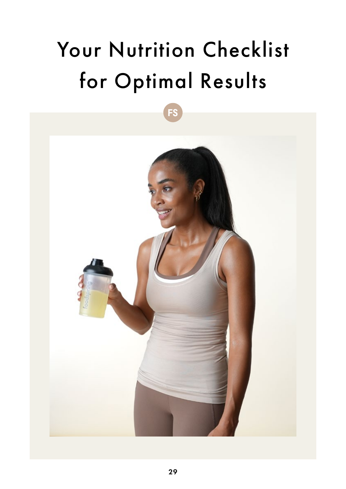# Your Nutrition Checklist for Optimal Results

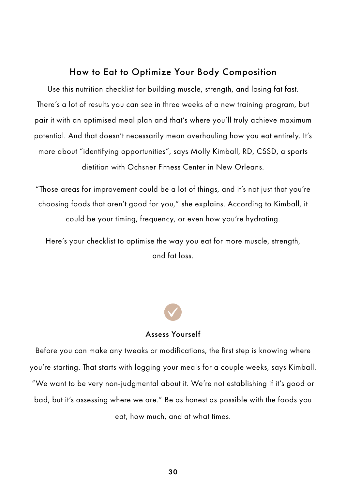#### How to Eat to Optimize Your Body Composition

Use this nutrition checklist for building muscle, strength, and losing fat fast. There's a lot of results you can see in three weeks of a new training program, but pair it with an optimised meal plan and that's where you'll truly achieve maximum potential. And that doesn't necessarily mean overhauling how you eat entirely. It's more about "identifying opportunities", says Molly Kimball, RD, CSSD, a sports dietitian with Ochsner Fitness Center in New Orleans.

"Those areas for improvement could be a lot of things, and it's not just that you're choosing foods that aren't good for you," she explains. According to Kimball, it could be your timing, frequency, or even how you're hydrating.

Here's your checklist to optimise the way you eat for more muscle, strength, and fat loss.



#### Assess Yourself

Before you can make any tweaks or modifications, the first step is knowing where you're starting. That starts with logging your meals for a couple weeks, says Kimball. "We want to be very non-judgmental about it. We're not establishing if it's good or bad, but it's assessing where we are." Be as honest as possible with the foods you eat, how much, and at what times.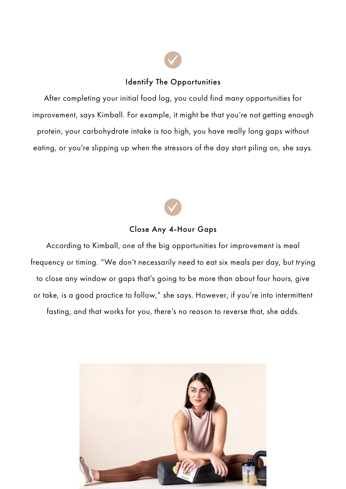#### Identify The Opportunities

After completing your initial food log, you could find many opportunities for improvement, says Kimball. For example, it might be that you're not getting enough protein, your carbohydrate intake is too high, you have really long gaps without eating, or you're slipping up when the stressors of the day start piling on, she says.



#### Close Any 4-Hour Gaps

According to Kimball, one of the big opportunities for improvement is meal frequency or timing. "We don't necessarily need to eat six meals per day, but trying to close any window or gaps that's going to be more than about four hours, give or take, is a good practice to follow," she says. However, if you're into intermittent fasting, and that works for you, there's no reason to reverse that, she adds.

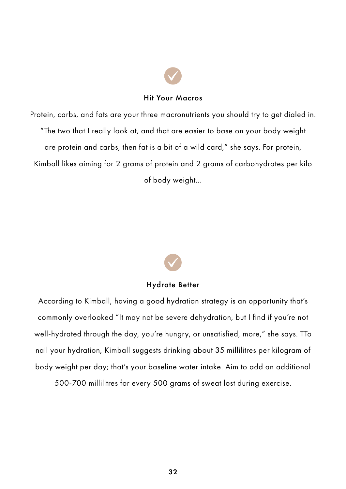#### Hit Your Macros

Protein, carbs, and fats are your three macronutrients you should try to get dialed in. "The two that I really look at, and that are easier to base on your body weight are protein and carbs, then fat is a bit of a wild card," she says. For protein, Kimball likes aiming for 2 grams of protein and 2 grams of carbohydrates per kilo of body weight...

#### Hydrate Better

According to Kimball, having a good hydration strategy is an opportunity that's commonly overlooked "It may not be severe dehydration, but I find if you're not well-hydrated through the day, you're hungry, or unsatisfied, more," she says. TTo nail your hydration, Kimball suggests drinking about 35 millilitres per kilogram of body weight per day; that's your baseline water intake. Aim to add an additional

500-700 millilitres for every 500 grams of sweat lost during exercise.